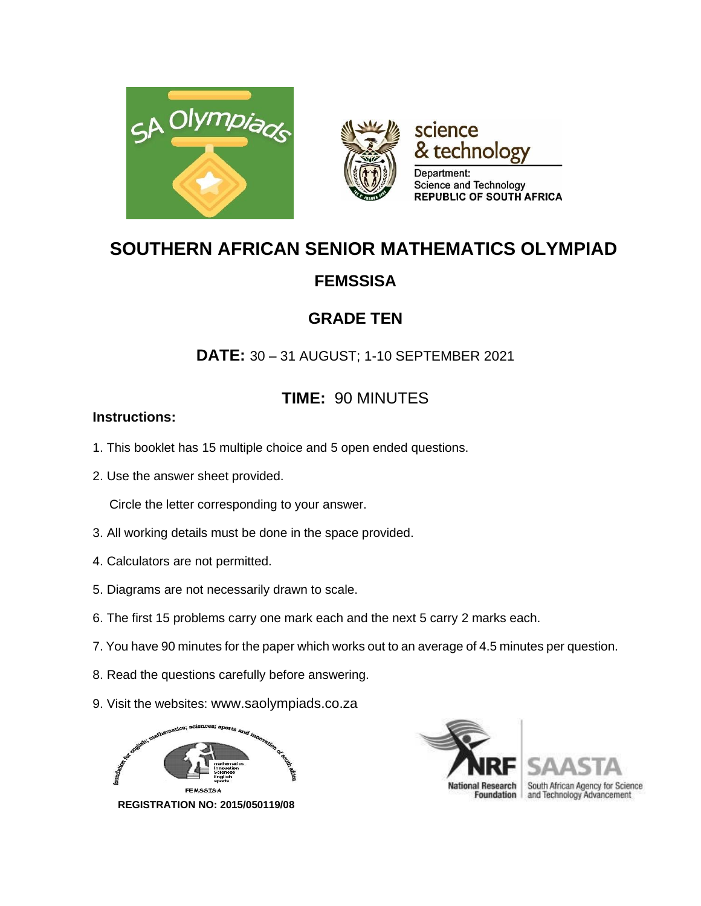



# **SOUTHERN AFRICAN SENIOR MATHEMATICS OLYMPIAD**

## **FEMSSISA**

## **GRADE TEN**

**DATE:** 30 – 31 AUGUST; 1-10 SEPTEMBER 2021

## **TIME:** 90 MINUTES

### **Instructions:**

- 1. This booklet has 15 multiple choice and 5 open ended questions.
- 2. Use the answer sheet provided.

Circle the letter corresponding to your answer.

- 3. All working details must be done in the space provided.
- 4. Calculators are not permitted.
- 5. Diagrams are not necessarily drawn to scale.
- 6. The first 15 problems carry one mark each and the next 5 carry 2 marks each.
- 7. You have 90 minutes for the paper which works out to an average of 4.5 minutes per question.
- 8. Read the questions carefully before answering.
- 9. Visit the websites: www.saolympiads.co.za



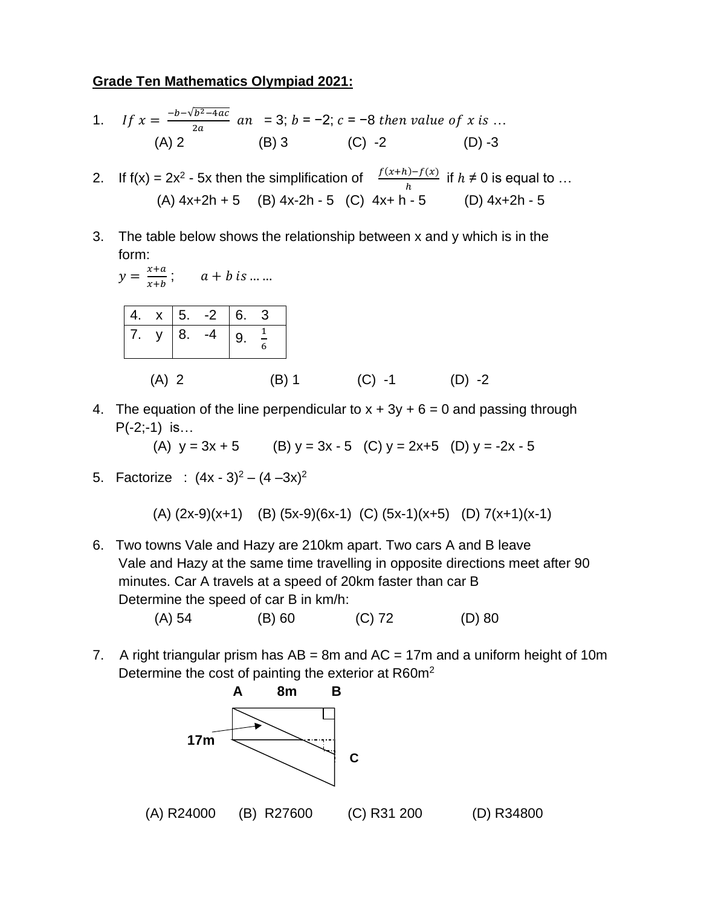#### **Grade Ten Mathematics Olympiad 2021:**

1. If 
$$
x = \frac{-b - \sqrt{b^2 - 4ac}}{2a}
$$
 an = 3;  $b = -2$ ;  $c = -8$  then value of x is ...  
(A) 2 (B) 3 (C) -2 (D) -3

- 2. If  $f(x) = 2x^2 5x$  then the simplification of  $\frac{f(x+h)-f(x)}{h}$  if  $h \neq 0$  is equal to ...  $(A)$  4x+2h + 5 (B) 4x-2h - 5 (C) 4x+ h - 5 (D) 4x+2h - 5
- 3. The table below shows the relationship between x and y which is in the form:

$$
y = \frac{x+a}{x+b}; \qquad a+b \text{ is } ...
$$

|  |         | $ 4. x   5. -2   6. 3$          |         |
|--|---------|---------------------------------|---------|
|  |         | 7. y   8. -4   $9. \frac{1}{2}$ |         |
|  | $(A)$ 2 |                                 | $(B)$ 1 |

4. The equation of the line perpendicular to  $x + 3y + 6 = 0$  and passing through  $P(-2;-1)$  is...

(A)  $y = 3x + 5$  (B)  $y = 3x - 5$  (C)  $y = 2x + 5$  (D)  $y = -2x - 5$ 

5. Factorize : 
$$
(4x - 3)^2 - (4 - 3x)^2
$$

(A) (2x-9)(x+1) (B) (5x-9)(6x-1) (C) (5x-1)(x+5) (D) 7(x+1)(x-1)

6. Two towns Vale and Hazy are 210km apart. Two cars A and B leave Vale and Hazy at the same time travelling in opposite directions meet after 90 minutes. Car A travels at a speed of 20km faster than car B Determine the speed of car B in km/h:

(A) 54 (B) 60 (C) 72 (D) 80

7. A right triangular prism has  $AB = 8m$  and  $AC = 17m$  and a uniform height of 10m Determine the cost of painting the exterior at R60m<sup>2</sup>

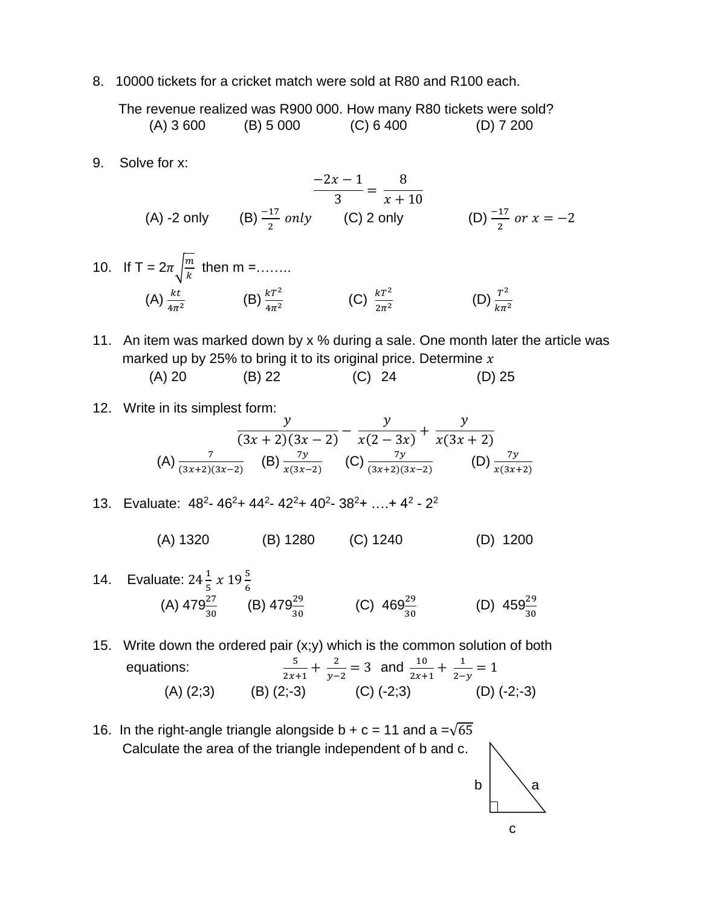8. 10000 tickets for a cricket match were sold at R80 and R100 each.

The revenue realized was R900 000. How many R80 tickets were sold? (A) 3 600 (B) 5 000 (C) 6 400 (D) 7 200

9. Solve for x:

$$
\frac{-2x - 1}{3} = \frac{8}{x + 10}
$$
  
(A) -2 only (B)  $\frac{-17}{2}$  only (C) 2 only (D)  $\frac{-17}{2}$  or  $x = -2$ 

- 10. If T =  $2\pi \sqrt{\frac{m}{k}}$  $\frac{m}{k}$  then m =........ (A)  $\frac{kt}{4\pi^2}$  (B)  $\frac{kT^2}{4\pi^2}$  $rac{kT^2}{4\pi^2}$  (C)  $rac{kT^2}{2\pi^2}$  $2\pi^2$ (D)  $\frac{T^2}{l}$  $k\pi^2$
- 11. An item was marked down by x % during a sale. One month later the article was marked up by 25% to bring it to its original price. Determine  $x$ 
	- (A) 20 (B) 22 (C) 24 (D) 25
- 12. Write in its simplest form:

$$
\frac{y}{(3x+2)(3x-2)} - \frac{y}{x(2-3x)} + \frac{y}{x(3x+2)}
$$
\n(A)  $\frac{7}{(3x+2)(3x-2)}$  (B)  $\frac{7y}{x(3x-2)}$  (C)  $\frac{7y}{(3x+2)(3x-2)}$  (D)  $\frac{7y}{x(3x+2)}$ 

13. Evaluate: 
$$
48^2 - 46^2 + 44^2 - 42^2 + 40^2 - 38^2 + \dots + 4^2 - 2^2
$$

- (A) 1320 (B) 1280 (C) 1240 (D) 1200
- 14. Evaluate:  $24\frac{1}{5} \times 19\frac{5}{6}$ (A)  $479\frac{27}{30}$  (B)  $479\frac{29}{30}$  (C)  $469\frac{29}{30}$  $\frac{29}{30}$  (D)  $459\frac{29}{30}$  $\frac{29}{30}$
- 15. Write down the ordered pair (x;y) which is the common solution of both equations:  $\frac{5}{2x+1} + \frac{2}{y-1}$  $\frac{2}{y-2}$  = 3 and  $\frac{10}{2x+1}$  +  $\frac{1}{2-}$  $\frac{1}{2-y} = 1$ (A)  $(2;3)$  (B)  $(2;-3)$  (C)  $(-2;3)$  (D)  $(-2;-3)$
- 16. In the right-angle triangle alongside b +  $c = 11$  and a = $\sqrt{65}$ Calculate the area of the triangle independent of b and c.  $b \mid \ \ \ \ \ \ \ \ a$

c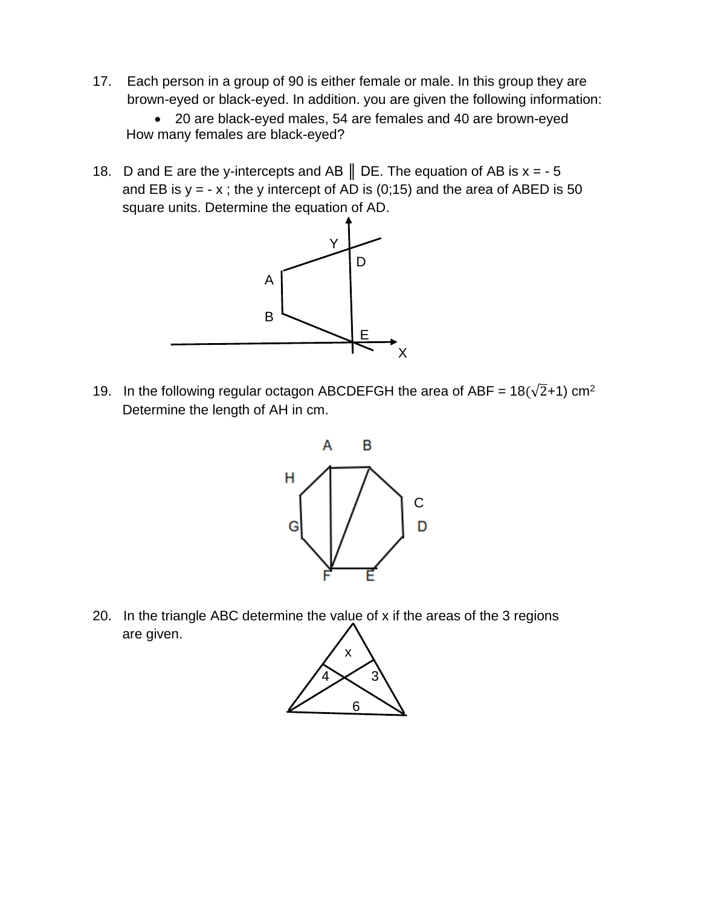17. Each person in a group of 90 is either female or male. In this group they are brown-eyed or black-eyed. In addition. you are given the following information:

• 20 are black-eyed males, 54 are females and 40 are brown-eyed How many females are black-eyed?

18. D and E are the y-intercepts and AB  $\parallel$  DE. The equation of AB is x = - 5 and EB is  $y = -x$ ; the y intercept of AD is (0;15) and the area of ABED is 50 square units. Determine the equation of AD.



19. In the following regular octagon ABCDEFGH the area of ABF =  $18(\sqrt{2}+1)$  cm<sup>2</sup> Determine the length of AH in cm.



20. In the triangle ABC determine the value of x if the areas of the 3 regions are given.

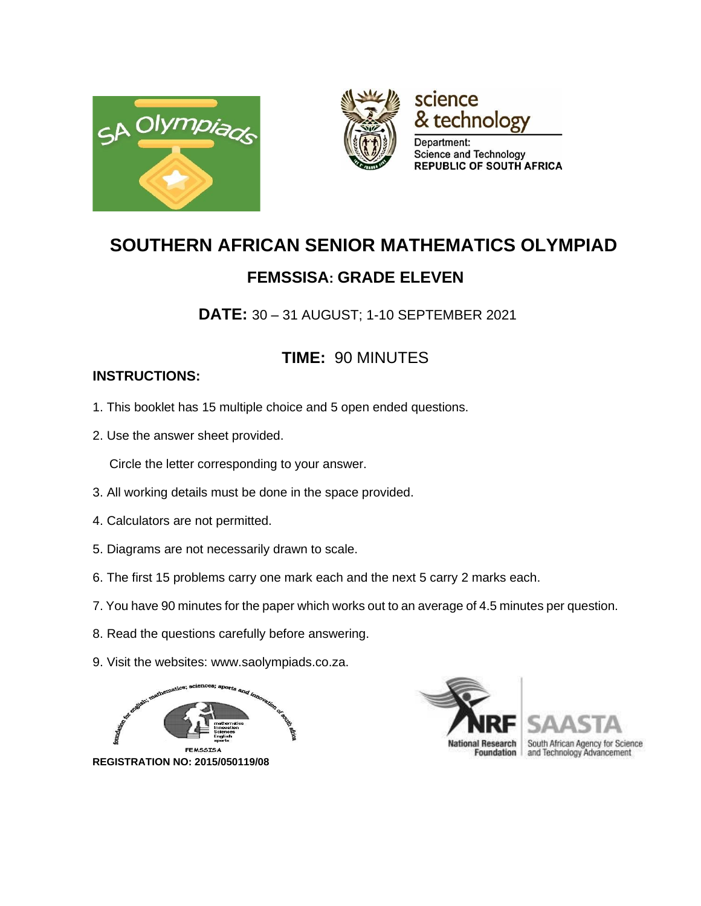



technology Department: Science and Technology **REPUBLIC OF SOUTH AFRICA** 

science

# **SOUTHERN AFRICAN SENIOR MATHEMATICS OLYMPIAD FEMSSISA: GRADE ELEVEN**

**DATE:** 30 – 31 AUGUST; 1-10 SEPTEMBER 2021

## **TIME:** 90 MINUTES

## **INSTRUCTIONS:**

- 1. This booklet has 15 multiple choice and 5 open ended questions.
- 2. Use the answer sheet provided.

Circle the letter corresponding to your answer.

- 3. All working details must be done in the space provided.
- 4. Calculators are not permitted.
- 5. Diagrams are not necessarily drawn to scale.
- 6. The first 15 problems carry one mark each and the next 5 carry 2 marks each.
- 7. You have 90 minutes for the paper which works out to an average of 4.5 minutes per question.
- 8. Read the questions carefully before answering.
- 9. Visit the websites: www.saolympiads.co.za.



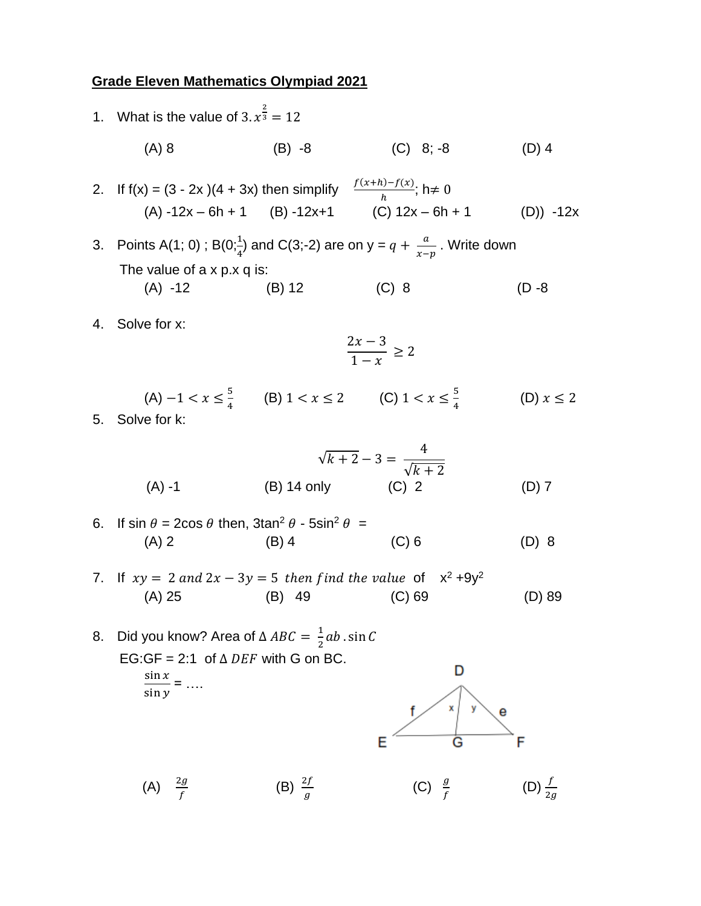## **Grade Eleven Mathematics Olympiad 2021**

1. What is the value of 3. 
$$
x^{\frac{2}{3}} = 12
$$
  
\n(A) 8 (B) -8 (C) 8; -8 (D) 4  
\n2. If f(x) = (3 - 2x)(4 + 3x) then simplify  $\frac{f(x+h)-f(x)}{h}$ ; h≠ 0  
\n(A) -12x -6h +1 (B) -12x+1 (C) 12x -6h +1 (D)) -12x  
\n3. Points A(1; 0); B(0;  $\frac{1}{4}$ ) and C(3; -2) are on y = q +  $\frac{a}{x-y}$ . Write down  
\nThe value of a x p.x q is:  
\n(A) -12 (B) 12 (C) 8 (D -8  
\n4. Solve for x:  
\n $\frac{2x-3}{1-x} \ge 2$   
\n(A) -1 < x ≤  $\frac{5}{4}$  (B) 1 < x ≤ 2 (C) 1 < x ≤  $\frac{5}{4}$  (D) x ≤ 2  
\n5. Solve for k:  
\n $\sqrt{k+2} - 3 = \frac{4}{\sqrt{k+2}}$   
\n(A) -1 (B) 14 only (C) 2 (D) 7  
\n6. If sin θ = 2cos θ then, 3tan<sup>2</sup> θ - 5sin<sup>2</sup> θ =  
\n(A) 2 (B) 4 (C) 6 (D) 8  
\n7. If xy = 2 and 2x - 3y = 5 then find the value of x<sup>2</sup> +9y<sup>2</sup>  
\n(A) 25 (B) 49 (C) 69 (D) 89  
\n8. Did you know? Area of ΔABC =  $\frac{1}{2}$ ab. sin C  
\nEG: GF = 2:1 of ΔDEF with G on BC.  
\n $\frac{\sin x}{\sin y} = ...$   
\n(A)  $\frac{2g}{f}$  (B)  $\frac{2f}{g}$  (C)  $\frac{g}{f}$  (D)  $\frac{f}{2g}$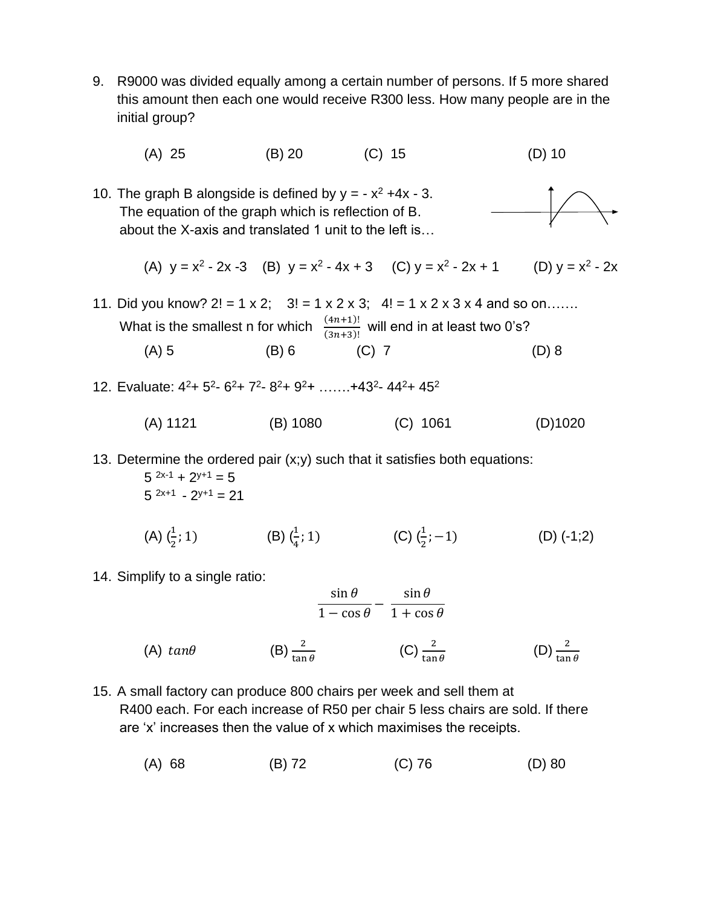- 9. R9000 was divided equally among a certain number of persons. If 5 more shared this amount then each one would receive R300 less. How many people are in the initial group?
	- (A) 25 (B) 20 (C) 15 (D) 10

10. The graph B alongside is defined by  $y = -x^2 + 4x - 3$ . The equation of the graph which is reflection of B. about the X-axis and translated 1 unit to the left is…

(A) 
$$
y = x^2 - 2x - 3
$$
 (B)  $y = x^2 - 4x + 3$  (C)  $y = x^2 - 2x + 1$  (D)  $y = x^2 - 2x$ 

11. Did you know?  $2! = 1 \times 2$ ;  $3! = 1 \times 2 \times 3$ ;  $4! = 1 \times 2 \times 3 \times 4$  and so on...... What is the smallest n for which  $\frac{(4n+1)!}{(3n+3)!}$  will end in at least two 0's?  $(A) 5$  (B) 6 (C) 7 (D) 8

- 12. Evaluate:  $4^2$ +  $5^2$   $6^2$ +  $7^2$   $8^2$ +  $9^2$ + ......+43<sup>2</sup>- 44<sup>2</sup>+ 45<sup>2</sup>
	- (A) 1121 (B) 1080 (C) 1061 (D)1020

13. Determine the ordered pair (x;y) such that it satisfies both equations:

 $5^{2x-1} + 2^{y+1} = 5$  $5^{2x+1} - 2^{y+1} = 21$ 

- (A)  $(\frac{1}{2}; 1)$  (B)  $(\frac{1}{4}; 1)$  (C)  $(\frac{1}{2};$  $(D)$  (-1;2)
- 14. Simplify to a single ratio:

$$
\frac{\sin \theta}{1 - \cos \theta} - \frac{\sin \theta}{1 + \cos \theta}
$$

- (A)  $tan\theta$  $rac{2}{\tan \theta}$  (C)  $rac{2}{\tan \theta}$  $(C)$   $\frac{2}{\tan \theta}$ (D)  $\frac{2}{\tan \theta}$
- 15. A small factory can produce 800 chairs per week and sell them at R400 each. For each increase of R50 per chair 5 less chairs are sold. If there are 'x' increases then the value of x which maximises the receipts.
	- (A) 68 (B) 72 (C) 76 (D) 80